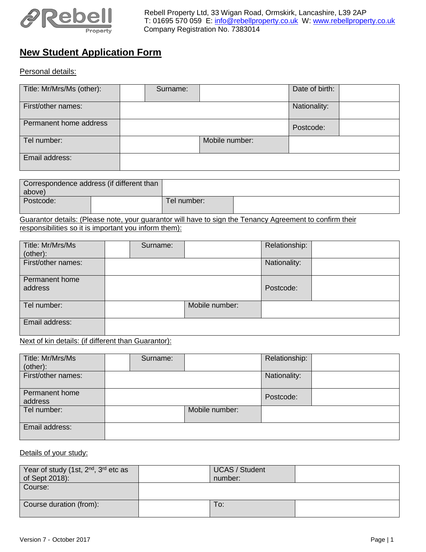

## **New Student Application Form**

Personal details:

| Title: Mr/Mrs/Ms (other): | Surname: |                | Date of birth: |  |
|---------------------------|----------|----------------|----------------|--|
| First/other names:        |          |                | Nationality:   |  |
| Permanent home address    |          |                | Postcode:      |  |
| Tel number:               |          | Mobile number: |                |  |
| Email address:            |          |                |                |  |

| above)    | Correspondence address (if different than |             |  |
|-----------|-------------------------------------------|-------------|--|
| Postcode: |                                           | Tel number: |  |

Guarantor details: (Please note, your guarantor will have to sign the Tenancy Agreement to confirm their responsibilities so it is important you inform them):

| Title: Mr/Mrs/Ms<br>(other): | Surname: |                | Relationship: |  |
|------------------------------|----------|----------------|---------------|--|
| First/other names:           |          |                | Nationality:  |  |
| Permanent home<br>address    |          |                | Postcode:     |  |
| Tel number:                  |          | Mobile number: |               |  |
| Email address:               |          |                |               |  |

Next of kin details: (if different than Guarantor):

| Title: Mr/Mrs/Ms<br>(other): | Surname: |                | Relationship: |  |
|------------------------------|----------|----------------|---------------|--|
| First/other names:           |          |                | Nationality:  |  |
| Permanent home<br>address    |          |                | Postcode:     |  |
| Tel number:                  |          | Mobile number: |               |  |
| Email address:               |          |                |               |  |

## Details of your study:

| Year of study (1st, 2 <sup>nd</sup> , 3 <sup>rd</sup> etc as<br>of Sept 2018): | <b>UCAS / Student</b><br>number: |  |
|--------------------------------------------------------------------------------|----------------------------------|--|
| Course:                                                                        |                                  |  |
| Course duration (from):                                                        | To:                              |  |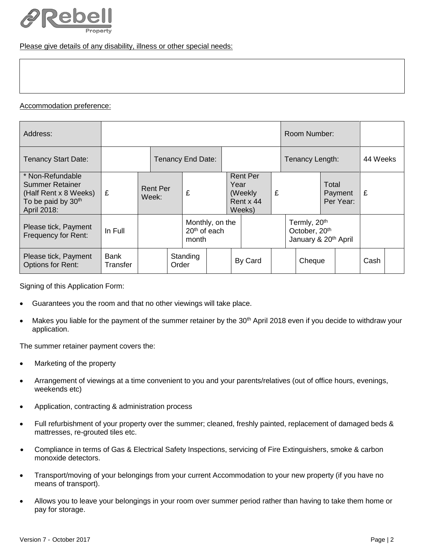

Please give details of any disability, illness or other special needs:

## Accommodation preference:

| Address:                                                                                                             |                  |                   |                                                      |          |  |                                                                 | Room Number:    |  |                                                                                           |          |                               |  |      |  |
|----------------------------------------------------------------------------------------------------------------------|------------------|-------------------|------------------------------------------------------|----------|--|-----------------------------------------------------------------|-----------------|--|-------------------------------------------------------------------------------------------|----------|-------------------------------|--|------|--|
| <b>Tenancy Start Date:</b>                                                                                           |                  | Tenancy End Date: |                                                      |          |  |                                                                 | Tenancy Length: |  |                                                                                           | 44 Weeks |                               |  |      |  |
| * Non-Refundable<br><b>Summer Retainer</b><br>(Half Rent x 8 Weeks)<br>To be paid by 30 <sup>th</sup><br>April 2018: | £                | Week:             | <b>Rent Per</b><br>£                                 |          |  | <b>Rent Per</b><br>Year<br>(Weekly)<br>£<br>Rent x 44<br>Weeks) |                 |  |                                                                                           |          | Total<br>Payment<br>Per Year: |  | £    |  |
| Please tick, Payment<br>Frequency for Rent:                                                                          | In Full          |                   | Monthly, on the<br>20 <sup>th</sup> of each<br>month |          |  |                                                                 |                 |  | Termly, 20 <sup>th</sup><br>October, 20 <sup>th</sup><br>January & 20 <sup>th</sup> April |          |                               |  |      |  |
| Please tick, Payment<br><b>Options for Rent:</b>                                                                     | Bank<br>Transfer |                   | Order                                                | Standing |  |                                                                 | By Card         |  |                                                                                           | Cheque   |                               |  | Cash |  |

Signing of this Application Form:

- Guarantees you the room and that no other viewings will take place.
- Makes you liable for the payment of the summer retainer by the 30<sup>th</sup> April 2018 even if you decide to withdraw your application.

The summer retainer payment covers the:

- Marketing of the property
- Arrangement of viewings at a time convenient to you and your parents/relatives (out of office hours, evenings, weekends etc)
- Application, contracting & administration process
- Full refurbishment of your property over the summer; cleaned, freshly painted, replacement of damaged beds & mattresses, re-grouted tiles etc.
- Compliance in terms of Gas & Electrical Safety Inspections, servicing of Fire Extinguishers, smoke & carbon monoxide detectors.
- Transport/moving of your belongings from your current Accommodation to your new property (if you have no means of transport).
- Allows you to leave your belongings in your room over summer period rather than having to take them home or pay for storage.